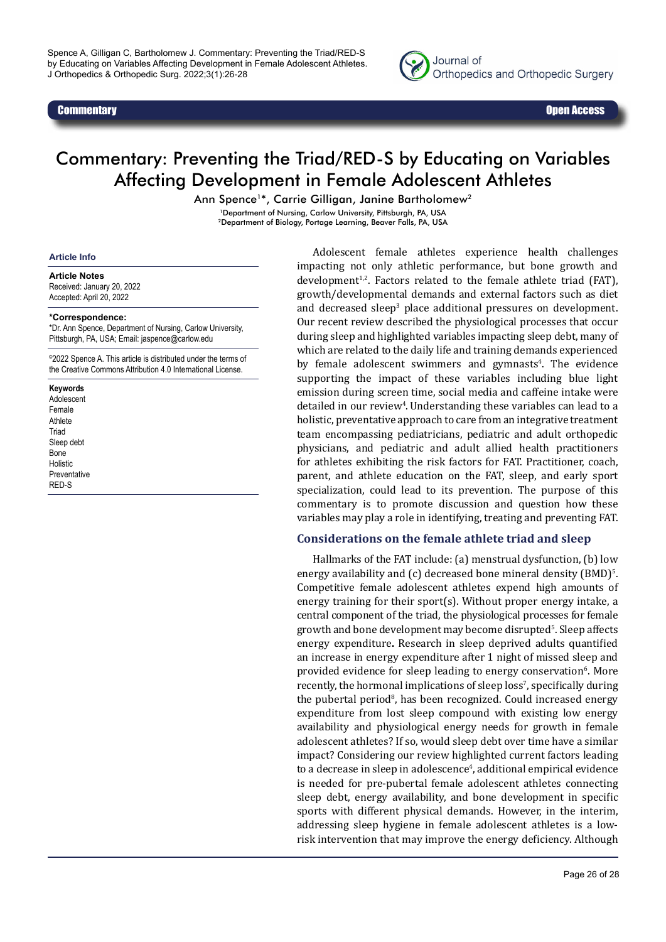

# Commentary: Preventing the Triad/RED-S by Educating on Variables Affecting Development in Female Adolescent Athletes

Ann Spence<sup>1\*</sup>, Carrie Gilligan, Janine Bartholomew<sup>2</sup>

1Department of Nursing, Carlow University, Pittsburgh, PA, USA 2Department of Biology, Portage Learning, Beaver Falls, PA, USA

#### **Article Info**

#### **Article Notes**

Received: January 20, 2022 Accepted: April 20, 2022

#### **\*Correspondence:**

\*Dr. Ann Spence, Department of Nursing, Carlow University, Pittsburgh, PA, USA; Email: jaspence@carlow.edu

<sup>©</sup>2022 Spence A. This article is distributed under the terms of the Creative Commons Attribution 4.0 International License.

#### **Keywords**

Adolescent Female Athlete **Triad** Sleep debt Bone Holistic Preventative RED-S

Adolescent female athletes experience health challenges impacting not only athletic performance, but bone growth and  $development<sup>1,2</sup>$ . Factors related to the female athlete triad (FAT), growth/developmental demands and external factors such as diet and decreased sleep<sup>3</sup> place additional pressures on development. Our recent review described the physiological processes that occur during sleep and highlighted variables impacting sleep debt, many of which are related to the daily life and training demands experienced by female adolescent swimmers and gymnasts<sup>4</sup>. The evidence supporting the impact of these variables including blue light emission during screen time, social media and caffeine intake were detailed in our review<sup>4</sup>. Understanding these variables can lead to a holistic, preventative approach to care from an integrative treatment team encompassing pediatricians, pediatric and adult orthopedic physicians, and pediatric and adult allied health practitioners for athletes exhibiting the risk factors for FAT. Practitioner, coach, parent, and athlete education on the FAT, sleep, and early sport specialization, could lead to its prevention. The purpose of this commentary is to promote discussion and question how these variables may play a role in identifying, treating and preventing FAT.

### **Considerations on the female athlete triad and sleep**

Hallmarks of the FAT include: (a) menstrual dysfunction, (b) low energy availability and (c) decreased bone mineral density (BMD) $^{\circ}$ . Competitive female adolescent athletes expend high amounts of energy training for their sport(s). Without proper energy intake, a central component of the triad, the physiological processes for female growth and bone development may become disrupted<sup>5</sup>. Sleep affects energy expenditure**.** Research in sleep deprived adults quantified an increase in energy expenditure after 1 night of missed sleep and provided evidence for sleep leading to energy conservation<sup>6</sup>. More recently, the hormonal implications of sleep loss', specifically during the pubertal period<sup>8</sup>, has been recognized. Could increased energy expenditure from lost sleep compound with existing low energy availability and physiological energy needs for growth in female adolescent athletes? If so, would sleep debt over time have a similar impact? Considering our review highlighted current factors leading to a decrease in sleep in adolescence<sup>4</sup>, additional empirical evidence is needed for pre-pubertal female adolescent athletes connecting sleep debt, energy availability, and bone development in specific sports with different physical demands. However, in the interim, addressing sleep hygiene in female adolescent athletes is a lowrisk intervention that may improve the energy deficiency. Although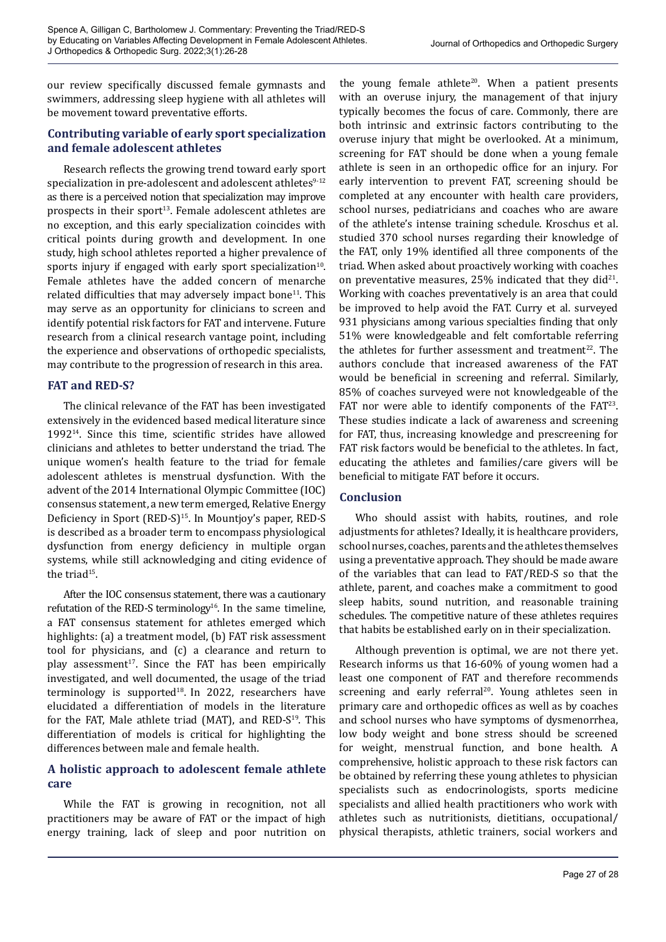our review specifically discussed female gymnasts and swimmers, addressing sleep hygiene with all athletes will be movement toward preventative efforts.

## **Contributing variable of early sport specialization and female adolescent athletes**

Research reflects the growing trend toward early sport specialization in pre-adolescent and adolescent athletes<sup>9-12</sup> as there is a perceived notion that specialization may improve prospects in their sport $13$ . Female adolescent athletes are no exception, and this early specialization coincides with critical points during growth and development. In one study, high school athletes reported a higher prevalence of sports injury if engaged with early sport specialization $10$ . Female athletes have the added concern of menarche related difficulties that may adversely impact bone<sup>11</sup>. This may serve as an opportunity for clinicians to screen and identify potential risk factors for FAT and intervene. Future research from a clinical research vantage point, including the experience and observations of orthopedic specialists, may contribute to the progression of research in this area.

## **FAT and RED-S?**

The clinical relevance of the FAT has been investigated extensively in the evidenced based medical literature since 199214. Since this time, scientific strides have allowed clinicians and athletes to better understand the triad. The unique women's health feature to the triad for female adolescent athletes is menstrual dysfunction. With the advent of the 2014 International Olympic Committee (IOC) consensus statement, a new term emerged, Relative Energy Deficiency in Sport (RED-S)<sup>15</sup>. In Mountjoy's paper, RED-S is described as a broader term to encompass physiological dysfunction from energy deficiency in multiple organ systems, while still acknowledging and citing evidence of the triad<sup>15</sup>.

After the IOC consensus statement, there was a cautionary refutation of the RED-S terminology<sup>16</sup>. In the same timeline, a FAT consensus statement for athletes emerged which highlights: (a) a treatment model, (b) FAT risk assessment tool for physicians, and (c) a clearance and return to play assessment<sup>17</sup>. Since the FAT has been empirically investigated, and well documented, the usage of the triad terminology is supported<sup>18</sup>. In 2022, researchers have elucidated a differentiation of models in the literature for the FAT, Male athlete triad (MAT), and RED- $S^{19}$ . This differentiation of models is critical for highlighting the differences between male and female health.

## **A holistic approach to adolescent female athlete care**

While the FAT is growing in recognition, not all practitioners may be aware of FAT or the impact of high energy training, lack of sleep and poor nutrition on

the young female athlete<sup>20</sup>. When a patient presents with an overuse injury, the management of that injury typically becomes the focus of care. Commonly, there are both intrinsic and extrinsic factors contributing to the overuse injury that might be overlooked. At a minimum, screening for FAT should be done when a young female athlete is seen in an orthopedic office for an injury. For early intervention to prevent FAT, screening should be completed at any encounter with health care providers, school nurses, pediatricians and coaches who are aware of the athlete's intense training schedule. Kroschus et al. studied 370 school nurses regarding their knowledge of the FAT, only 19% identified all three components of the triad. When asked about proactively working with coaches on preventative measures,  $25%$  indicated that they did<sup>21</sup>. Working with coaches preventatively is an area that could be improved to help avoid the FAT. Curry et al. surveyed 931 physicians among various specialties finding that only 51% were knowledgeable and felt comfortable referring the athletes for further assessment and treatment<sup>22</sup>. The authors conclude that increased awareness of the FAT would be beneficial in screening and referral. Similarly, 85% of coaches surveyed were not knowledgeable of the FAT nor were able to identify components of the  $FAT^{23}$ . These studies indicate a lack of awareness and screening for FAT, thus, increasing knowledge and prescreening for FAT risk factors would be beneficial to the athletes. In fact, educating the athletes and families/care givers will be beneficial to mitigate FAT before it occurs.

## **Conclusion**

Who should assist with habits, routines, and role adjustments for athletes? Ideally, it is healthcare providers, school nurses, coaches, parents and the athletes themselves using a preventative approach. They should be made aware of the variables that can lead to FAT/RED-S so that the athlete, parent, and coaches make a commitment to good sleep habits, sound nutrition, and reasonable training schedules. The competitive nature of these athletes requires that habits be established early on in their specialization.

Although prevention is optimal, we are not there yet. Research informs us that 16-60% of young women had a least one component of FAT and therefore recommends screening and early referral<sup>20</sup>. Young athletes seen in primary care and orthopedic offices as well as by coaches and school nurses who have symptoms of dysmenorrhea, low body weight and bone stress should be screened for weight, menstrual function, and bone health. A comprehensive, holistic approach to these risk factors can be obtained by referring these young athletes to physician specialists such as endocrinologists, sports medicine specialists and allied health practitioners who work with athletes such as nutritionists, dietitians, occupational/ physical therapists, athletic trainers, social workers and